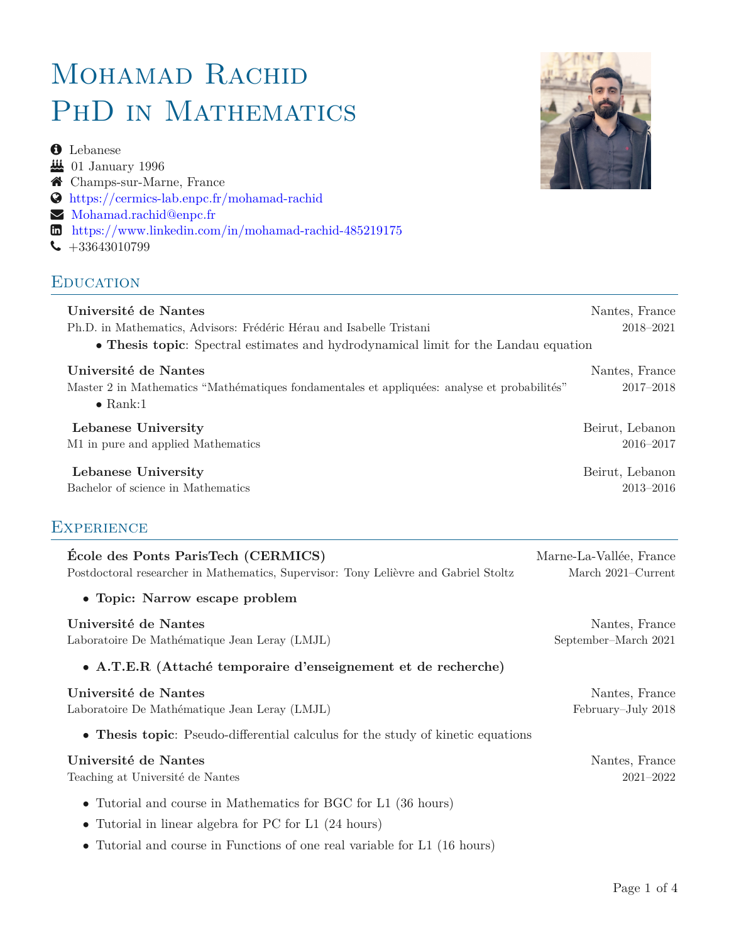# MOHAMAD RACHID PHD IN MATHEMATICS

**O** Lebanese  $\frac{11}{200}$  01 January 1996 Champs-sur-Marne, France [https://cermics-lab.enpc.fr/mohamad-rachid](https://https://cermics-lab.enpc.fr/mohamad-rachid/) [Mohamad.rachid@enpc.fr](mailto: Mohamad.Rachid@enpc.fr) [https://www.linkedin.com/in/mohamad-rachid-485219175](https://www.linkedin.com/in/https://www.linkedin.com/in/mohamad-rachid-485219175/)  $\bigcup$  +33643010799

#### **EDUCATION**



Laboratoire De Mathématique Jean Leray (LMJL) February–July 2018

• **Thesis topic**: Pseudo-differential calculus for the study of kinetic equations

#### **Université de Nantes** Nantes nous de la proposación de la proposación de la proposación de Nantes, France de la p

Teaching at Université de Nantes 2021–2022

- *•* Tutorial and course in Mathematics for BGC for L1 (36 hours)
- *•* Tutorial in linear algebra for PC for L1 (24 hours)
- *•* Tutorial and course in Functions of one real variable for L1 (16 hours)

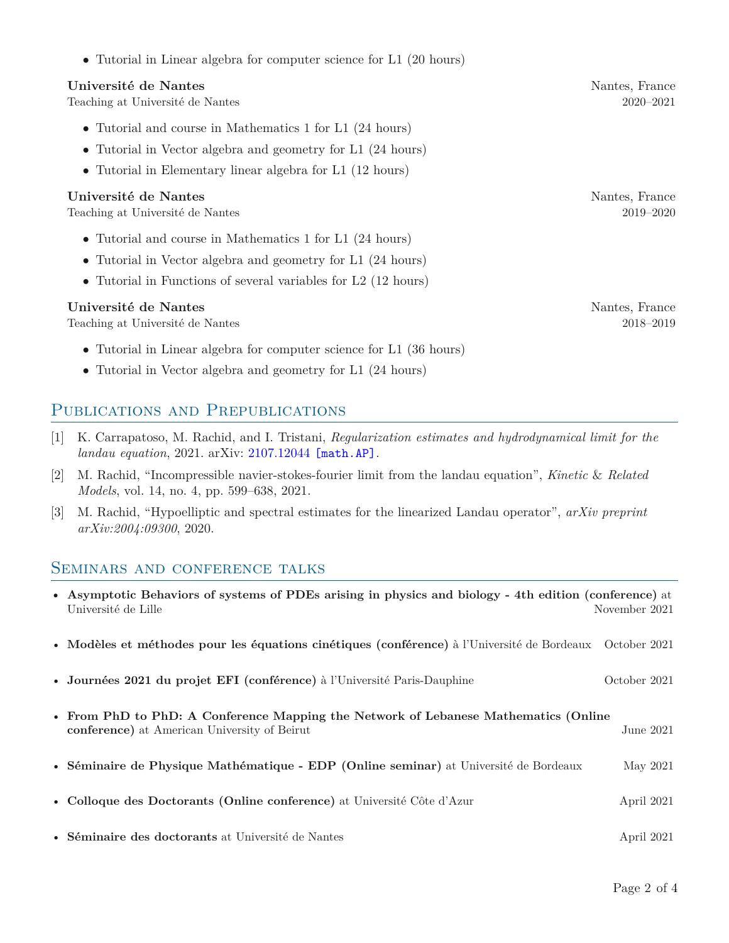| • Tutorial in Linear algebra for computer science for L1 $(20 \text{ hours})$                                                                                                               |                                 |
|---------------------------------------------------------------------------------------------------------------------------------------------------------------------------------------------|---------------------------------|
| Université de Nantes<br>Teaching at Université de Nantes                                                                                                                                    | Nantes, France<br>$2020 - 2021$ |
| • Tutorial and course in Mathematics 1 for L1 (24 hours)<br>• Tutorial in Vector algebra and geometry for L1 (24 hours)<br>• Tutorial in Elementary linear algebra for L1 (12 hours)        |                                 |
| Université de Nantes<br>Teaching at Université de Nantes                                                                                                                                    | Nantes, France<br>2019–2020     |
| • Tutorial and course in Mathematics 1 for L1 (24 hours)<br>• Tutorial in Vector algebra and geometry for L1 (24 hours)<br>• Tutorial in Functions of several variables for $L2$ (12 hours) |                                 |
| Université de Nantes<br>Teaching at Université de Nantes                                                                                                                                    | Nantes, France<br>2018-2019     |
| • Tutorial in Linear algebra for computer science for L1 $(36 \text{ hours})$                                                                                                               |                                 |

*•* Tutorial in Vector algebra and geometry for L1 (24 hours)

#### PUBLICATIONS AND PREPUBLICATIONS

- [1] K. Carrapatoso, M. Rachid, and I. Tristani, *Regularization estimates and hydrodynamical limit for the landau equation*, 2021. arXiv: [2107.12044](https://arxiv.org/abs/2107.12044) [math.AP].
- [2] M. Rachid, "Incompressible navier-stokes-fourier limit from the landau equation", *Kinetic* & *Related Models*, vol. 14, no. 4, pp. 599–638, 2021.
- [3] M. Rachid, "Hypoelliptic and spectral estimates for the linearized Landau operator", *arXiv preprint arXiv:2004:09300*, 2020.

#### Seminars and conference talks

| • Asymptotic Behaviors of systems of PDEs arising in physics and biology - 4th edition (conference) at<br>Université de Lille       | November 2021 |
|-------------------------------------------------------------------------------------------------------------------------------------|---------------|
| • Modèles et méthodes pour les équations cinétiques (conférence) à l'Université de Bordeaux October 2021                            |               |
| • Journées 2021 du projet EFI (conférence) à l'Université Paris-Dauphine                                                            | October 2021  |
| • From PhD to PhD: A Conference Mapping the Network of Lebanese Mathematics (Online<br>conference) at American University of Beirut | June 2021     |
| • Séminaire de Physique Mathématique - EDP (Online seminar) at Université de Bordeaux                                               | May 2021      |
| • Colloque des Doctorants (Online conference) at Université Côte d'Azur                                                             | April 2021    |
| • Séminaire des doctorants at Université de Nantes                                                                                  | April 2021    |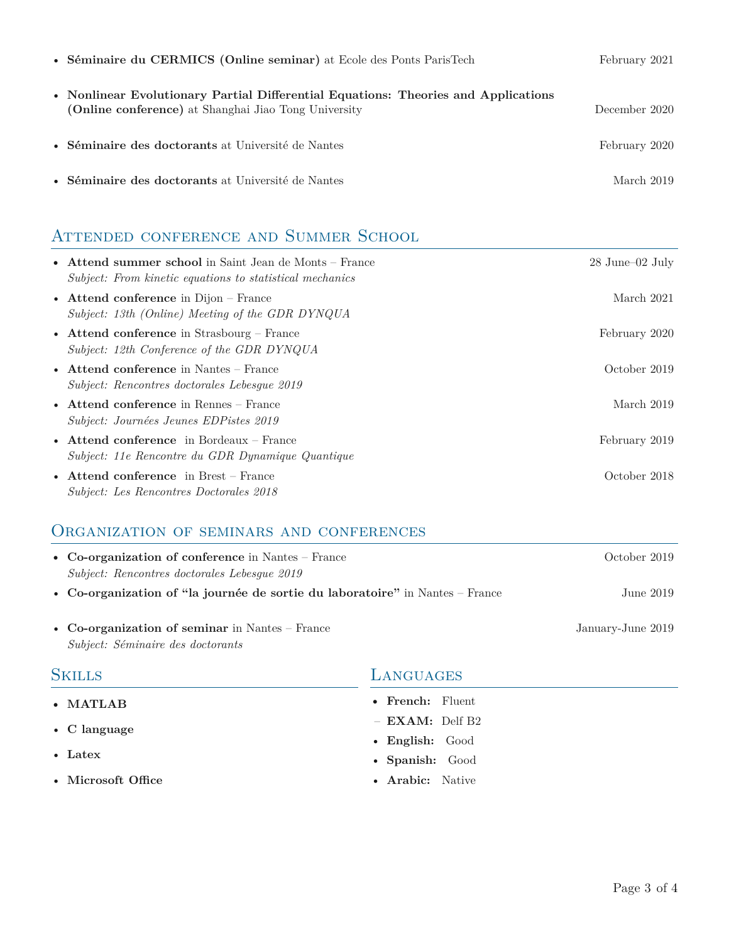| • Séminaire du CERMICS (Online seminar) at Ecole des Ponts Paris Tech                                                                      | February 2021 |
|--------------------------------------------------------------------------------------------------------------------------------------------|---------------|
| • Nonlinear Evolutionary Partial Differential Equations: Theories and Applications<br>(Online conference) at Shanghai Jiao Tong University | December 2020 |
| • Séminaire des doctorants at Université de Nantes                                                                                         | February 2020 |
| • Séminaire des doctorants at Université de Nantes                                                                                         | March 2019    |

## ATTENDED CONFERENCE AND SUMMER SCHOOL

| • Attend summer school in Saint Jean de Monts – France<br>Subject: From kinetic equations to statistical mechanics | $28$ June–02 July |
|--------------------------------------------------------------------------------------------------------------------|-------------------|
| • Attend conference in Dijon – France<br>Subject: 13th (Online) Meeting of the GDR DYNQUA                          | March 2021        |
| • Attend conference in Strasbourg – France<br>Subject: 12th Conference of the GDR DYNQUA                           | February 2020     |
| • Attend conference in Nantes – France<br>Subject: Rencontres doctorales Lebesgue 2019                             | October 2019      |
| • Attend conference in Rennes $-$ France<br>Subject: Journées Jeunes EDPistes 2019                                 | March 2019        |
| • Attend conference in Bordeaux – France<br>Subject: 11e Rencontre du GDR Dynamique Quantique                      | February 2019     |
| • Attend conference in Brest – France<br><i>Subject: Les Rencontres Doctorales 2018</i>                            | October 2018      |

### Organization of seminars and conferences

| • Co-organization of conference in Nantes – France<br>Subject: Rencontres doctorales Lebesgue 2019 | October 2019      |
|----------------------------------------------------------------------------------------------------|-------------------|
| • Co-organization of "la journée de sortie du laboratoire" in Nantes – France                      | June $2019$       |
| • Co-organization of seminar in Nantes – France<br>Subject: Séminaire des doctorants               | January-June 2019 |

| <b>SKILLS</b>        | LANGUAGES         |  |
|----------------------|-------------------|--|
| $\bullet$ MATLAB     | • French: Fluent  |  |
| $\bullet$ C language | $-$ EXAM: Delf B2 |  |
|                      | • English: Good   |  |
| $\bullet$ Latex      | • Spanish: Good   |  |
| • Microsoft Office   | • Arabic: Native  |  |
|                      |                   |  |